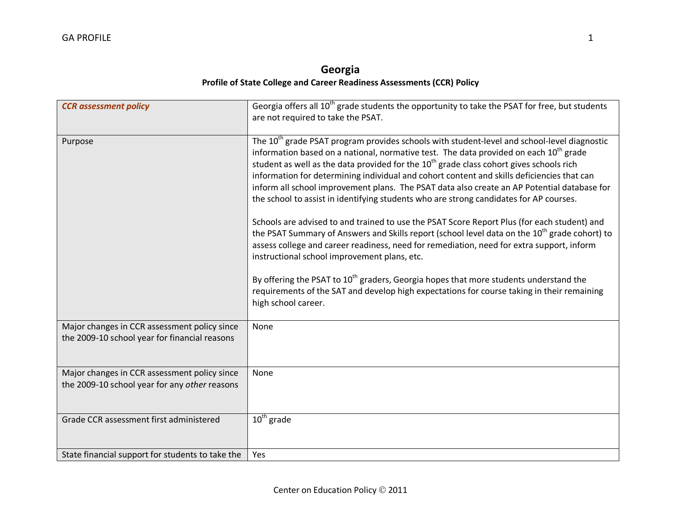## **Georgia Profile of State College and Career Readiness Assessments (CCR) Policy**

| <b>CCR</b> assessment policy                                                                  | Georgia offers all 10 <sup>th</sup> grade students the opportunity to take the PSAT for free, but students<br>are not required to take the PSAT.                                                                                                                                                                                                                                                                                                                                                                                                                                                                                                                                                                                                                                                                                                                                                                                                                                                                                                                                                                                                                                              |
|-----------------------------------------------------------------------------------------------|-----------------------------------------------------------------------------------------------------------------------------------------------------------------------------------------------------------------------------------------------------------------------------------------------------------------------------------------------------------------------------------------------------------------------------------------------------------------------------------------------------------------------------------------------------------------------------------------------------------------------------------------------------------------------------------------------------------------------------------------------------------------------------------------------------------------------------------------------------------------------------------------------------------------------------------------------------------------------------------------------------------------------------------------------------------------------------------------------------------------------------------------------------------------------------------------------|
| Purpose                                                                                       | The 10 <sup>th</sup> grade PSAT program provides schools with student-level and school-level diagnostic<br>information based on a national, normative test. The data provided on each 10 <sup>th</sup> grade<br>student as well as the data provided for the 10 <sup>th</sup> grade class cohort gives schools rich<br>information for determining individual and cohort content and skills deficiencies that can<br>inform all school improvement plans. The PSAT data also create an AP Potential database for<br>the school to assist in identifying students who are strong candidates for AP courses.<br>Schools are advised to and trained to use the PSAT Score Report Plus (for each student) and<br>the PSAT Summary of Answers and Skills report (school level data on the 10 <sup>th</sup> grade cohort) to<br>assess college and career readiness, need for remediation, need for extra support, inform<br>instructional school improvement plans, etc.<br>By offering the PSAT to 10 <sup>th</sup> graders, Georgia hopes that more students understand the<br>requirements of the SAT and develop high expectations for course taking in their remaining<br>high school career. |
| Major changes in CCR assessment policy since<br>the 2009-10 school year for financial reasons | None                                                                                                                                                                                                                                                                                                                                                                                                                                                                                                                                                                                                                                                                                                                                                                                                                                                                                                                                                                                                                                                                                                                                                                                          |
| Major changes in CCR assessment policy since<br>the 2009-10 school year for any other reasons | None                                                                                                                                                                                                                                                                                                                                                                                                                                                                                                                                                                                                                                                                                                                                                                                                                                                                                                                                                                                                                                                                                                                                                                                          |
| Grade CCR assessment first administered                                                       | $10th$ grade                                                                                                                                                                                                                                                                                                                                                                                                                                                                                                                                                                                                                                                                                                                                                                                                                                                                                                                                                                                                                                                                                                                                                                                  |
| State financial support for students to take the                                              | Yes                                                                                                                                                                                                                                                                                                                                                                                                                                                                                                                                                                                                                                                                                                                                                                                                                                                                                                                                                                                                                                                                                                                                                                                           |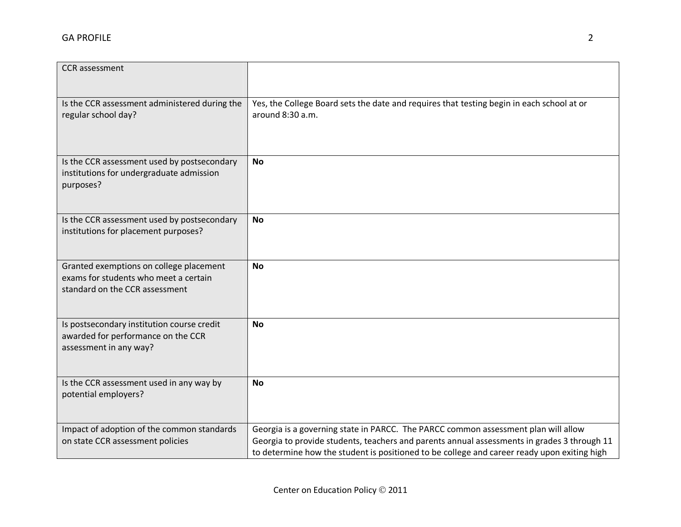| <b>CCR</b> assessment                                                            |                                                                                             |
|----------------------------------------------------------------------------------|---------------------------------------------------------------------------------------------|
|                                                                                  |                                                                                             |
|                                                                                  |                                                                                             |
| Is the CCR assessment administered during the                                    | Yes, the College Board sets the date and requires that testing begin in each school at or   |
| regular school day?                                                              | around 8:30 a.m.                                                                            |
|                                                                                  |                                                                                             |
|                                                                                  |                                                                                             |
| Is the CCR assessment used by postsecondary                                      | <b>No</b>                                                                                   |
| institutions for undergraduate admission                                         |                                                                                             |
| purposes?                                                                        |                                                                                             |
|                                                                                  |                                                                                             |
| Is the CCR assessment used by postsecondary                                      | <b>No</b>                                                                                   |
| institutions for placement purposes?                                             |                                                                                             |
|                                                                                  |                                                                                             |
|                                                                                  | <b>No</b>                                                                                   |
| Granted exemptions on college placement<br>exams for students who meet a certain |                                                                                             |
| standard on the CCR assessment                                                   |                                                                                             |
|                                                                                  |                                                                                             |
|                                                                                  |                                                                                             |
| Is postsecondary institution course credit                                       | <b>No</b>                                                                                   |
| awarded for performance on the CCR<br>assessment in any way?                     |                                                                                             |
|                                                                                  |                                                                                             |
|                                                                                  |                                                                                             |
| Is the CCR assessment used in any way by                                         | <b>No</b>                                                                                   |
| potential employers?                                                             |                                                                                             |
|                                                                                  |                                                                                             |
| Impact of adoption of the common standards                                       | Georgia is a governing state in PARCC. The PARCC common assessment plan will allow          |
| on state CCR assessment policies                                                 | Georgia to provide students, teachers and parents annual assessments in grades 3 through 11 |
|                                                                                  | to determine how the student is positioned to be college and career ready upon exiting high |